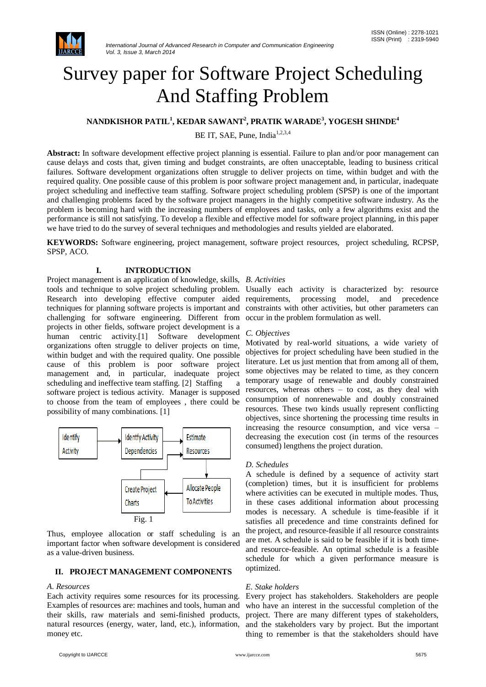

# Survey paper for Software Project Scheduling And Staffing Problem

# **NANDKISHOR PATIL<sup>1</sup> , KEDAR SAWANT<sup>2</sup> , PRATIK WARADE<sup>3</sup> , YOGESH SHINDE<sup>4</sup>**

BE IT, SAE, Pune, India<sup>1,2,3,4</sup>

**Abstract:** In software development effective project planning is essential. Failure to plan and/or poor management can cause delays and costs that, given timing and budget constraints, are often unacceptable, leading to business critical failures. Software development organizations often struggle to deliver projects on time, within budget and with the required quality. One possible cause of this problem is poor software project management and, in particular, inadequate project scheduling and ineffective team staffing. Software project scheduling problem (SPSP) is one of the important and challenging problems faced by the software project managers in the highly competitive software industry. As the problem is becoming hard with the increasing numbers of employees and tasks, only a few algorithms exist and the performance is still not satisfying. To develop a flexible and effective model for software project planning, in this paper we have tried to do the survey of several techniques and methodologies and results yielded are elaborated.

**KEYWORDS:** Software engineering, project management, software project resources, project scheduling, RCPSP, SPSP, ACO.

# **I. INTRODUCTION**

Project management is an application of knowledge, skills, *B. Activities* tools and technique to solve project scheduling problem. Usually each activity is characterized by: resource Research into developing effective computer aided requirements, techniques for planning software projects is important and challenging for software engineering. Different from projects in other fields, software project development is a human centric activity.[1] Software development organizations often struggle to deliver projects on time, within budget and with the required quality. One possible cause of this problem is poor software project management and, in particular, inadequate project scheduling and ineffective team staffing. [2] Staffing a software project is tedious activity. Manager is supposed to choose from the team of employees , there could be possibility of many combinations. [1]



Thus, employee allocation or staff scheduling is an important factor when software development is considered as a value-driven business.

### **II. PROJECT MANAGEMENT COMPONENTS**

### *A. Resources*

Each activity requires some resources for its processing. Examples of resources are: machines and tools, human and their skills, raw materials and semi-finished products, natural resources (energy, water, land, etc.), information, money etc.

processing model, and precedence constraints with other activities, but other parameters can occur in the problem formulation as well.

#### *C. Objectives*

Motivated by real-world situations, a wide variety of objectives for project scheduling have been studied in the literature. Let us just mention that from among all of them, some objectives may be related to time, as they concern temporary usage of renewable and doubly constrained resources, whereas others – to cost, as they deal with consumption of nonrenewable and doubly constrained resources. These two kinds usually represent conflicting objectives, since shortening the processing time results in increasing the resource consumption, and vice versa – decreasing the execution cost (in terms of the resources consumed) lengthens the project duration.

### *D. Schedules*

A schedule is defined by a sequence of activity start (completion) times, but it is insufficient for problems where activities can be executed in multiple modes. Thus, in these cases additional information about processing modes is necessary. A schedule is time-feasible if it satisfies all precedence and time constraints defined for the project, and resource-feasible if all resource constraints are met. A schedule is said to be feasible if it is both timeand resource-feasible. An optimal schedule is a feasible schedule for which a given performance measure is optimized.

### *E. Stake holders*

Every project has stakeholders. Stakeholders are people who have an interest in the successful completion of the project. There are many different types of stakeholders, and the stakeholders vary by project. But the important thing to remember is that the stakeholders should have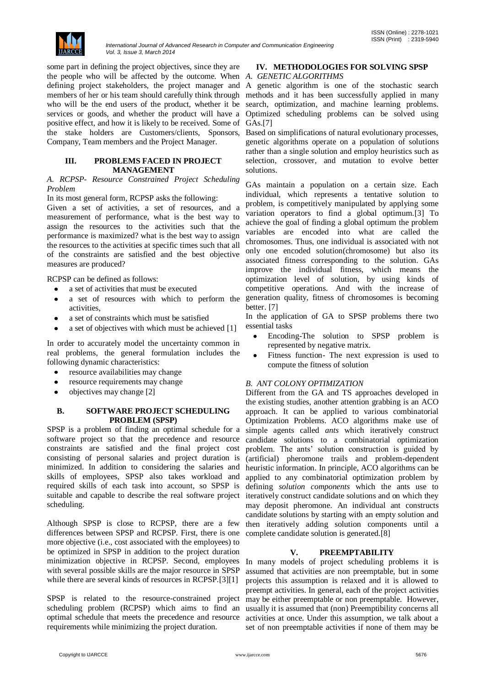

some part in defining the project objectives, since they are the people who will be affected by the outcome. When *A. GENETIC ALGORITHMS*  defining project stakeholders, the project manager and A genetic algorithm is one of the stochastic search members of her or his team should carefully think through methods and it has been successfully applied in many who will be the end users of the product, whether it be search, optimization, and machine learning problems. services or goods, and whether the product will have a Optimized scheduling problems can be solved using positive effect, and how it is likely to be received. Some of the stake holders are Customers/clients, Sponsors, Company, Team members and the Project Manager.

#### **III. PROBLEMS FACED IN PROJECT MANAGEMENT**

### *A. RCPSP- Resource Constrained Project Scheduling Problem*

In its most general form, RCPSP asks the following:

Given a set of activities, a set of resources, and a measurement of performance, what is the best way to assign the resources to the activities such that the performance is maximized? what is the best way to assign the resources to the activities at specific times such that all of the constraints are satisfied and the best objective measures are produced?

RCPSP can be defined as follows:

- a set of activities that must be executed  $\bullet$
- a set of resources with which to perform the Ă activities,
- a set of constraints which must be satisfied
- a set of objectives with which must be achieved [1]

In order to accurately model the uncertainty common in real problems, the general formulation includes the following dynamic characteristics:

- resource availabilities may change  $\bullet$
- resource requirements may change
- objectives may change [2]

## **B. SOFTWARE PROJECT SCHEDULING PROBLEM (SPSP)**

SPSP is a problem of finding an optimal schedule for a software project so that the precedence and resource constraints are satisfied and the final project cost consisting of personal salaries and project duration is minimized. In addition to considering the salaries and skills of employees, SPSP also takes workload and required skills of each task into account, so SPSP is suitable and capable to describe the real software project scheduling.

Although SPSP is close to RCPSP, there are a few differences between SPSP and RCPSP. First, there is one more objective (i.e., cost associated with the employees) to be optimized in SPSP in addition to the project duration minimization objective in RCPSP. Second, employees In many models of project scheduling problems it is with several possible skills are the major resource in SPSP while there are several kinds of resources in RCPSP.[3][1]

SPSP is related to the resource-constrained project scheduling problem (RCPSP) which aims to find an optimal schedule that meets the precedence and resource requirements while minimizing the project duration.

### **IV. METHODOLOGIES FOR SOLVING SPSP**

GAs.[7]

Based on simplifications of natural evolutionary processes, genetic algorithms operate on a population of solutions rather than a single solution and employ heuristics such as selection, crossover, and mutation to evolve better solutions.

GAs maintain a population on a certain size. Each individual, which represents a tentative solution to problem, is competitively manipulated by applying some variation operators to find a global optimum.[3] To achieve the goal of finding a global optimum the problem variables are encoded into what are called the chromosomes. Thus, one individual is associated with not only one encoded solution(chromosome) but also its associated fitness corresponding to the solution. GAs improve the individual fitness, which means the optimization level of solution, by using kinds of competitive operations. And with the increase of generation quality, fitness of chromosomes is becoming better. [7]

In the application of GA to SPSP problems there two essential tasks

- Encoding-The solution to SPSP problem is represented by negative matrix.
- Fitness function- The next expression is used to  $\bullet$ compute the fitness of solution

# *B. ANT COLONY OPTIMIZATION*

Different from the GA and TS approaches developed in the existing studies, another attention grabbing is an ACO approach. It can be applied to various combinatorial Optimization Problems. ACO algorithms make use of simple agents called *ants* which iteratively construct candidate solutions to a combinatorial optimization problem. The ants' solution construction is guided by (artificial) pheromone trails and problem-dependent heuristic information. In principle, ACO algorithms can be applied to any combinatorial optimization problem by defining *solution components* which the ants use to iteratively construct candidate solutions and on which they may deposit pheromone. An individual ant constructs candidate solutions by starting with an empty solution and then iteratively adding solution components until a complete candidate solution is generated.[8]

# **V. PREEMPTABILITY**

assumed that activities are non preemptable, but in some projects this assumption is relaxed and it is allowed to preempt activities. In general, each of the project activities may be either preemptable or non preemptable. However, usually it is assumed that (non) Preemptibility concerns all activities at once. Under this assumption, we talk about a set of non preemptable activities if none of them may be